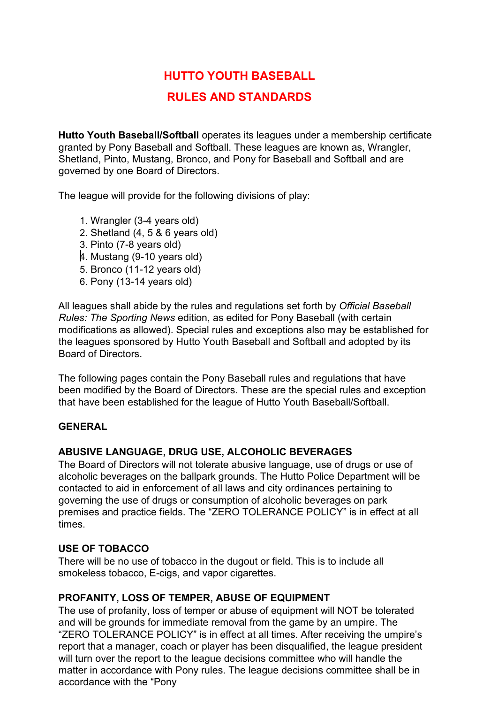# **HUTTO YOUTH BASEBALL**

# **RULES AND STANDARDS**

**Hutto Youth Baseball/Softball** operates its leagues under a membership certificate granted by Pony Baseball and Softball. These leagues are known as, Wrangler, Shetland, Pinto, Mustang, Bronco, and Pony for Baseball and Softball and are governed by one Board of Directors.

The league will provide for the following divisions of play:

- 1. Wrangler (3-4 years old)
- 2. Shetland (4, 5 & 6 years old)
- 3. Pinto (7-8 years old)
- 4. Mustang (9-10 years old)
- 5. Bronco (11-12 years old)
- 6. Pony (13-14 years old)

All leagues shall abide by the rules and regulations set forth by *Official Baseball Rules: The Sporting News* edition, as edited for Pony Baseball (with certain modifications as allowed). Special rules and exceptions also may be established for the leagues sponsored by Hutto Youth Baseball and Softball and adopted by its Board of Directors.

The following pages contain the Pony Baseball rules and regulations that have been modified by the Board of Directors. These are the special rules and exception that have been established for the league of Hutto Youth Baseball/Softball.

### **GENERAL**

### **ABUSIVE LANGUAGE, DRUG USE, ALCOHOLIC BEVERAGES**

The Board of Directors will not tolerate abusive language, use of drugs or use of alcoholic beverages on the ballpark grounds. The Hutto Police Department will be contacted to aid in enforcement of all laws and city ordinances pertaining to governing the use of drugs or consumption of alcoholic beverages on park premises and practice fields. The "ZERO TOLERANCE POLICY" is in effect at all times.

# **USE OF TOBACCO**

There will be no use of tobacco in the dugout or field. This is to include all smokeless tobacco, E-cigs, and vapor cigarettes.

# **PROFANITY, LOSS OF TEMPER, ABUSE OF EQUIPMENT**

The use of profanity, loss of temper or abuse of equipment will NOT be tolerated and will be grounds for immediate removal from the game by an umpire. The "ZERO TOLERANCE POLICY" is in effect at all times. After receiving the umpire's report that a manager, coach or player has been disqualified, the league president will turn over the report to the league decisions committee who will handle the matter in accordance with Pony rules. The league decisions committee shall be in accordance with the "Pony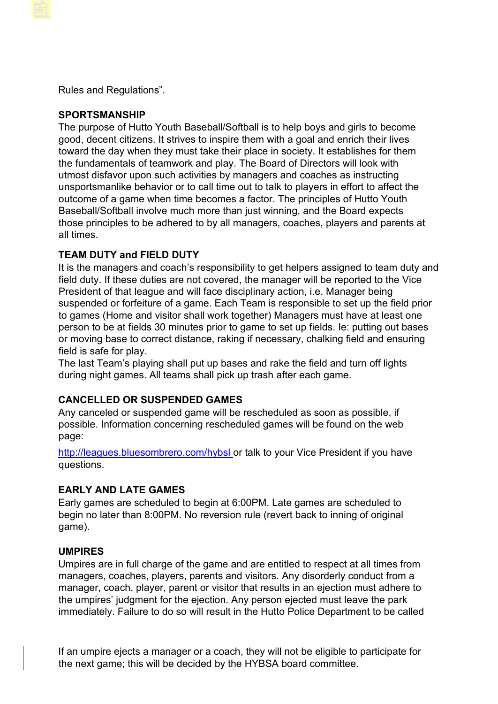Rules and Regulations".

### **SPORTSMANSHIP**

The purpose of Hutto Youth Baseball/Softball is to help boys and girls to become good, decent citizens. It strives to inspire them with a goal and enrich their lives toward the day when they must take their place in society. It establishes for them the fundamentals of teamwork and play. The Board of Directors will look with utmost disfavor upon such activities by managers and coaches as instructing unsportsmanlike behavior or to call time out to talk to players in effort to affect the outcome of a game when time becomes a factor. The principles of Hutto Youth Baseball/Softball involve much more than just winning, and the Board expects those principles to be adhered to by all managers, coaches, players and parents at all times.

# **TEAM DUTY and FIELD DUTY**

It is the managers and coach's responsibility to get helpers assigned to team duty and field duty. If these duties are not covered, the manager will be reported to the Vice President of that league and will face disciplinary action, i.e. Manager being suspended or forfeiture of a game. Each Team is responsible to set up the field prior to games (Home and visitor shall work together) Managers must have at least one person to be at fields 30 minutes prior to game to set up fields. Ie: putting out bases or moving base to correct distance, raking if necessary, chalking field and ensuring field is safe for play.

The last Team's playing shall put up bases and rake the field and turn off lights during night games. All teams shall pick up trash after each game.

# **CANCELLED OR SUSPENDED GAMES**

Any canceled or suspended game will be rescheduled as soon as possible, if possible. Information concerning rescheduled games will be found on the web page:

[http://leagues.bluesombrero.com/hybsl or](http://leagues.bluesombrero.com/hybsl) talk to your Vice President if you have questions.

# **EARLY AND LATE GAMES**

Early games are scheduled to begin at 6:00PM. Late games are scheduled to begin no later than 8:00PM. No reversion rule (revert back to inning of original game).

### **UMPIRES**

Umpires are in full charge of the game and are entitled to respect at all times from managers, coaches, players, parents and visitors. Any disorderly conduct from a manager, coach, player, parent or visitor that results in an ejection must adhere to the umpires' judgment for the ejection. Any person ejected must leave the park immediately. Failure to do so will result in the Hutto Police Department to be called

If an umpire ejects a manager or a coach, they will not be eligible to participate for the next game; this will be decided by the HYBSA board committee.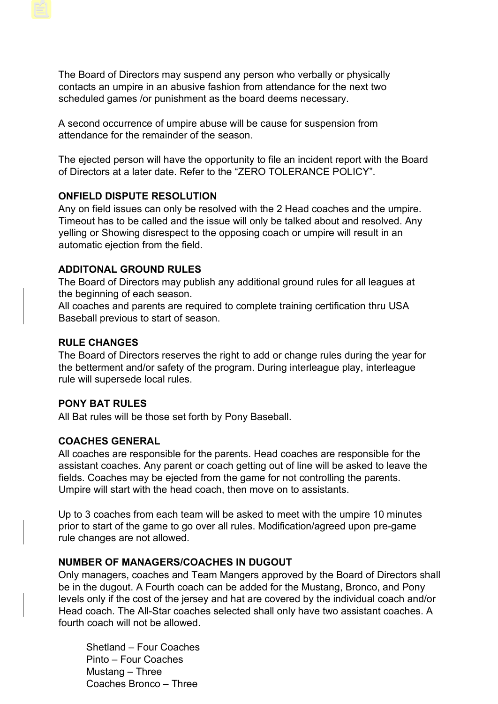The Board of Directors may suspend any person who verbally or physically contacts an umpire in an abusive fashion from attendance for the next two scheduled games /or punishment as the board deems necessary.

A second occurrence of umpire abuse will be cause for suspension from attendance for the remainder of the season.

The ejected person will have the opportunity to file an incident report with the Board of Directors at a later date. Refer to the "ZERO TOLERANCE POLICY".

#### **ONFIELD DISPUTE RESOLUTION**

Any on field issues can only be resolved with the 2 Head coaches and the umpire. Timeout has to be called and the issue will only be talked about and resolved. Any yelling or Showing disrespect to the opposing coach or umpire will result in an automatic ejection from the field.

#### **ADDITONAL GROUND RULES**

The Board of Directors may publish any additional ground rules for all leagues at the beginning of each season.

All coaches and parents are required to complete training certification thru USA Baseball previous to start of season.

### **RULE CHANGES**

The Board of Directors reserves the right to add or change rules during the year for the betterment and/or safety of the program. During interleague play, interleague rule will supersede local rules.

#### **PONY BAT RULES**

All Bat rules will be those set forth by Pony Baseball.

### **COACHES GENERAL**

All coaches are responsible for the parents. Head coaches are responsible for the assistant coaches. Any parent or coach getting out of line will be asked to leave the fields. Coaches may be ejected from the game for not controlling the parents. Umpire will start with the head coach, then move on to assistants.

Up to 3 coaches from each team will be asked to meet with the umpire 10 minutes prior to start of the game to go over all rules. Modification/agreed upon pre-game rule changes are not allowed.

#### **NUMBER OF MANAGERS/COACHES IN DUGOUT**

Only managers, coaches and Team Mangers approved by the Board of Directors shall be in the dugout. A Fourth coach can be added for the Mustang, Bronco, and Pony levels only if the cost of the jersey and hat are covered by the individual coach and/or Head coach. The All-Star coaches selected shall only have two assistant coaches. A fourth coach will not be allowed.

Shetland – Four Coaches Pinto – Four Coaches Mustang – Three Coaches Bronco – Three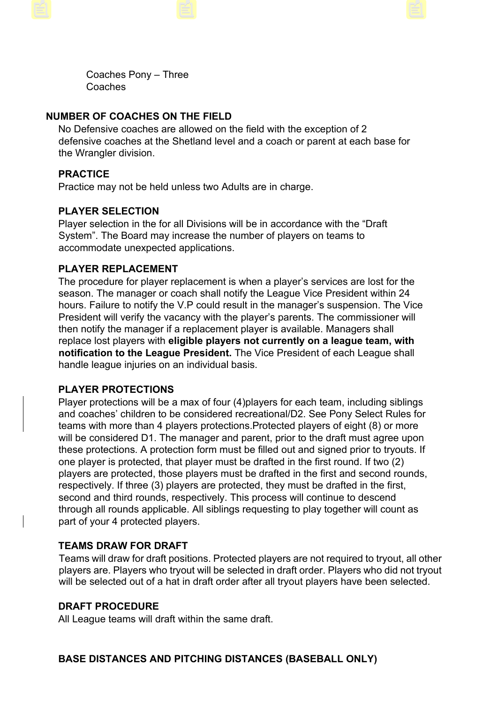Coaches Pony – Three Coaches

# **NUMBER OF COACHES ON THE FIELD**

No Defensive coaches are allowed on the field with the exception of 2 defensive coaches at the Shetland level and a coach or parent at each base for the Wrangler division.

# **PRACTICE**

Practice may not be held unless two Adults are in charge.

# **PLAYER SELECTION**

Player selection in the for all Divisions will be in accordance with the "Draft System". The Board may increase the number of players on teams to accommodate unexpected applications.

# **PLAYER REPLACEMENT**

The procedure for player replacement is when a player's services are lost for the season. The manager or coach shall notify the League Vice President within 24 hours. Failure to notify the V.P could result in the manager's suspension. The Vice President will verify the vacancy with the player's parents. The commissioner will then notify the manager if a replacement player is available. Managers shall replace lost players with **eligible players not currently on a league team, with notification to the League President.** The Vice President of each League shall handle league injuries on an individual basis.

# **PLAYER PROTECTIONS**

Player protections will be a max of four (4)players for each team, including siblings and coaches' children to be considered recreational/D2. See Pony Select Rules for teams with more than 4 players protections.Protected players of eight (8) or more will be considered D1. The manager and parent, prior to the draft must agree upon these protections. A protection form must be filled out and signed prior to tryouts. If one player is protected, that player must be drafted in the first round. If two (2) players are protected, those players must be drafted in the first and second rounds, respectively. If three (3) players are protected, they must be drafted in the first, second and third rounds, respectively. This process will continue to descend through all rounds applicable. All siblings requesting to play together will count as part of your 4 protected players.

# **TEAMS DRAW FOR DRAFT**

Teams will draw for draft positions. Protected players are not required to tryout, all other players are. Players who tryout will be selected in draft order. Players who did not tryout will be selected out of a hat in draft order after all tryout players have been selected.

### **DRAFT PROCEDURE**

All League teams will draft within the same draft.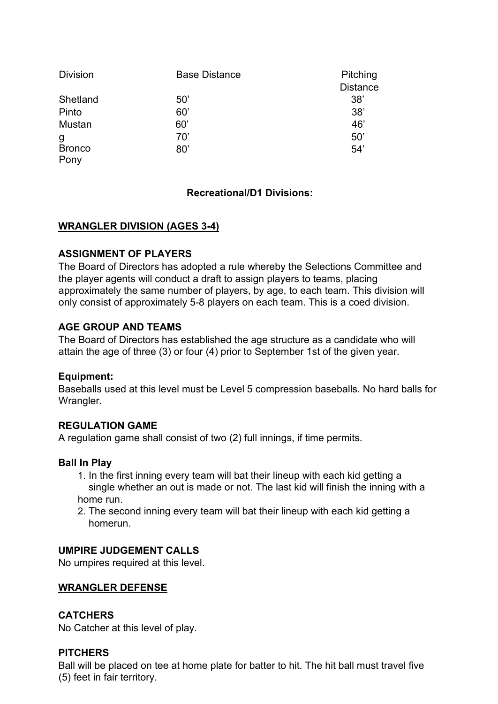| <b>Division</b> | <b>Base Distance</b> | Pitching        |
|-----------------|----------------------|-----------------|
|                 |                      | <b>Distance</b> |
| Shetland        | 50'                  | 38'             |
| Pinto           | 60'                  | 38'             |
| Mustan          | 60'                  | 46'             |
| g               | 70'                  | 50'             |
| <b>Bronco</b>   | 80'                  | 54'             |
| Pony            |                      |                 |

# **Recreational/D1 Divisions:**

# **WRANGLER DIVISION (AGES 3-4)**

### **ASSIGNMENT OF PLAYERS**

The Board of Directors has adopted a rule whereby the Selections Committee and the player agents will conduct a draft to assign players to teams, placing approximately the same number of players, by age, to each team. This division will only consist of approximately 5-8 players on each team. This is a coed division.

### **AGE GROUP AND TEAMS**

The Board of Directors has established the age structure as a candidate who will attain the age of three (3) or four (4) prior to September 1st of the given year.

### **Equipment:**

Baseballs used at this level must be Level 5 compression baseballs. No hard balls for Wrangler.

### **REGULATION GAME**

A regulation game shall consist of two (2) full innings, if time permits.

### **Ball In Play**

- 1. In the first inning every team will bat their lineup with each kid getting a single whether an out is made or not. The last kid will finish the inning with a home run.
- 2. The second inning every team will bat their lineup with each kid getting a homerun.

### **UMPIRE JUDGEMENT CALLS**

No umpires required at this level.

### **WRANGLER DEFENSE**

### **CATCHERS**

No Catcher at this level of play.

#### **PITCHERS**

Ball will be placed on tee at home plate for batter to hit. The hit ball must travel five (5) feet in fair territory.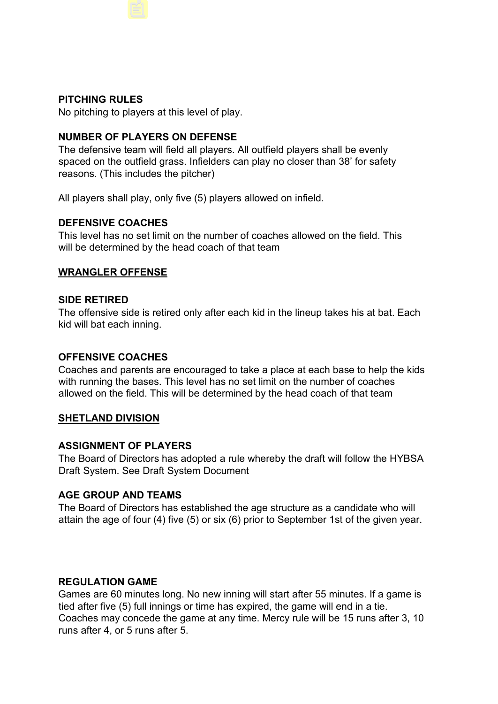### **PITCHING RULES**

No pitching to players at this level of play.

### **NUMBER OF PLAYERS ON DEFENSE**

The defensive team will field all players. All outfield players shall be evenly spaced on the outfield grass. Infielders can play no closer than 38' for safety reasons. (This includes the pitcher)

All players shall play, only five (5) players allowed on infield.

#### **DEFENSIVE COACHES**

This level has no set limit on the number of coaches allowed on the field. This will be determined by the head coach of that team

#### **WRANGLER OFFENSE**

#### **SIDE RETIRED**

The offensive side is retired only after each kid in the lineup takes his at bat. Each kid will bat each inning.

#### **OFFENSIVE COACHES**

Coaches and parents are encouraged to take a place at each base to help the kids with running the bases. This level has no set limit on the number of coaches allowed on the field. This will be determined by the head coach of that team

#### **SHETLAND DIVISION**

### **ASSIGNMENT OF PLAYERS**

The Board of Directors has adopted a rule whereby the draft will follow the HYBSA Draft System. See Draft System Document

### **AGE GROUP AND TEAMS**

The Board of Directors has established the age structure as a candidate who will attain the age of four (4) five (5) or six (6) prior to September 1st of the given year.

#### **REGULATION GAME**

Games are 60 minutes long. No new inning will start after 55 minutes. If a game is tied after five (5) full innings or time has expired, the game will end in a tie. Coaches may concede the game at any time. Mercy rule will be 15 runs after 3, 10 runs after 4, or 5 runs after 5.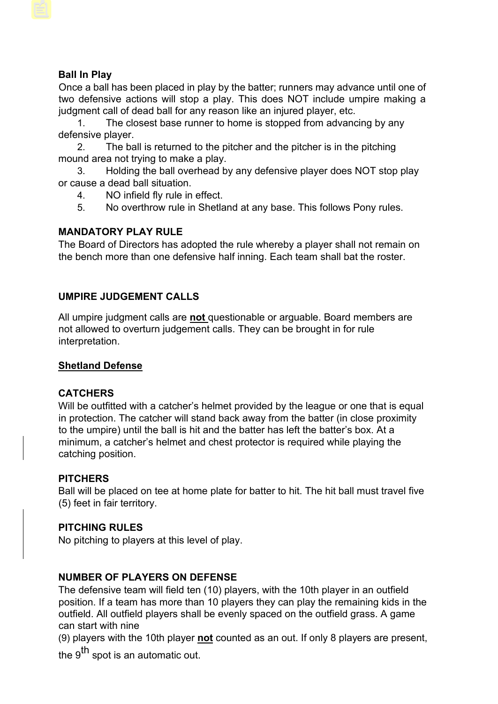# **Ball In Play**

Once a ball has been placed in play by the batter; runners may advance until one of two defensive actions will stop a play. This does NOT include umpire making a judgment call of dead ball for any reason like an injured player, etc.

1. The closest base runner to home is stopped from advancing by any defensive player.

2. The ball is returned to the pitcher and the pitcher is in the pitching mound area not trying to make a play.

3. Holding the ball overhead by any defensive player does NOT stop play or cause a dead ball situation.

- 4. NO infield fly rule in effect.
- 5. No overthrow rule in Shetland at any base. This follows Pony rules.

### **MANDATORY PLAY RULE**

The Board of Directors has adopted the rule whereby a player shall not remain on the bench more than one defensive half inning. Each team shall bat the roster.

# **UMPIRE JUDGEMENT CALLS**

All umpire judgment calls are **not** questionable or arguable. Board members are not allowed to overturn judgement calls. They can be brought in for rule interpretation.

### **Shetland Defense**

### **CATCHERS**

Will be outfitted with a catcher's helmet provided by the league or one that is equal in protection. The catcher will stand back away from the batter (in close proximity to the umpire) until the ball is hit and the batter has left the batter's box. At a minimum, a catcher's helmet and chest protector is required while playing the catching position.

### **PITCHERS**

Ball will be placed on tee at home plate for batter to hit. The hit ball must travel five (5) feet in fair territory.

# **PITCHING RULES**

No pitching to players at this level of play.

# **NUMBER OF PLAYERS ON DEFENSE**

The defensive team will field ten (10) players, with the 10th player in an outfield position. If a team has more than 10 players they can play the remaining kids in the outfield. All outfield players shall be evenly spaced on the outfield grass. A game can start with nine

(9) players with the 10th player **not** counted as an out. If only 8 players are present, the  $9^{\text{th}}$  spot is an automatic out.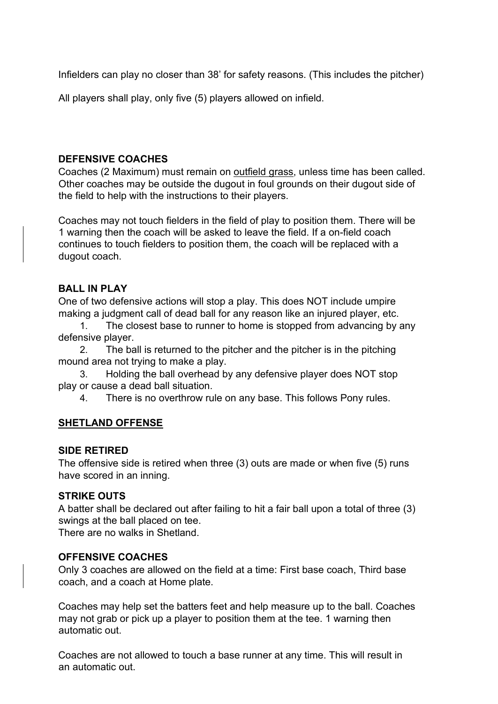Infielders can play no closer than 38' for safety reasons. (This includes the pitcher)

All players shall play, only five (5) players allowed on infield.

# **DEFENSIVE COACHES**

Coaches (2 Maximum) must remain on outfield grass, unless time has been called. Other coaches may be outside the dugout in foul grounds on their dugout side of the field to help with the instructions to their players.

Coaches may not touch fielders in the field of play to position them. There will be 1 warning then the coach will be asked to leave the field. If a on-field coach continues to touch fielders to position them, the coach will be replaced with a dugout coach.

### **BALL IN PLAY**

One of two defensive actions will stop a play. This does NOT include umpire making a judgment call of dead ball for any reason like an injured player, etc.

1. The closest base to runner to home is stopped from advancing by any defensive player.

2. The ball is returned to the pitcher and the pitcher is in the pitching mound area not trying to make a play.

3. Holding the ball overhead by any defensive player does NOT stop play or cause a dead ball situation.

4. There is no overthrow rule on any base. This follows Pony rules.

### **SHETLAND OFFENSE**

### **SIDE RETIRED**

The offensive side is retired when three (3) outs are made or when five (5) runs have scored in an inning.

### **STRIKE OUTS**

A batter shall be declared out after failing to hit a fair ball upon a total of three (3) swings at the ball placed on tee.

There are no walks in Shetland.

### **OFFENSIVE COACHES**

Only 3 coaches are allowed on the field at a time: First base coach, Third base coach, and a coach at Home plate.

Coaches may help set the batters feet and help measure up to the ball. Coaches may not grab or pick up a player to position them at the tee. 1 warning then automatic out.

Coaches are not allowed to touch a base runner at any time. This will result in an automatic out.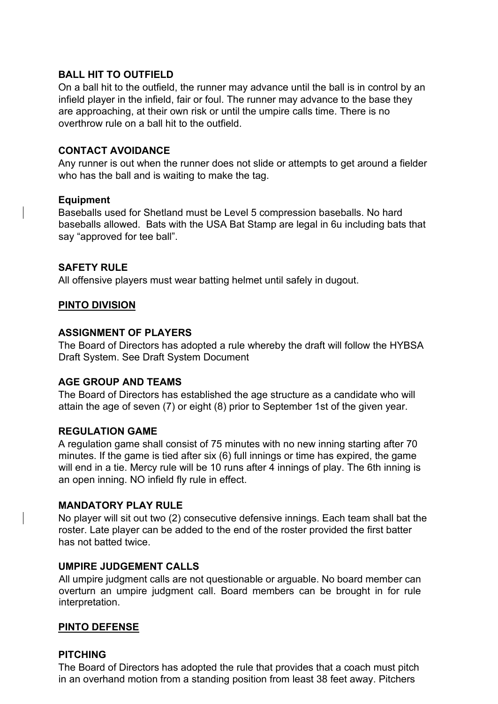### **BALL HIT TO OUTFIELD**

On a ball hit to the outfield, the runner may advance until the ball is in control by an infield player in the infield, fair or foul. The runner may advance to the base they are approaching, at their own risk or until the umpire calls time. There is no overthrow rule on a ball hit to the outfield.

### **CONTACT AVOIDANCE**

Any runner is out when the runner does not slide or attempts to get around a fielder who has the ball and is waiting to make the tag.

# **Equipment**

Baseballs used for Shetland must be Level 5 compression baseballs. No hard baseballs allowed. Bats with the USA Bat Stamp are legal in 6u including bats that say "approved for tee ball".

# **SAFETY RULE**

All offensive players must wear batting helmet until safely in dugout.

# **PINTO DIVISION**

# **ASSIGNMENT OF PLAYERS**

The Board of Directors has adopted a rule whereby the draft will follow the HYBSA Draft System. See Draft System Document

### **AGE GROUP AND TEAMS**

The Board of Directors has established the age structure as a candidate who will attain the age of seven (7) or eight (8) prior to September 1st of the given year.

### **REGULATION GAME**

A regulation game shall consist of 75 minutes with no new inning starting after 70 minutes. If the game is tied after six (6) full innings or time has expired, the game will end in a tie. Mercy rule will be 10 runs after 4 innings of play. The 6th inning is an open inning. NO infield fly rule in effect.

### **MANDATORY PLAY RULE**

No player will sit out two (2) consecutive defensive innings. Each team shall bat the roster. Late player can be added to the end of the roster provided the first batter has not batted twice.

### **UMPIRE JUDGEMENT CALLS**

All umpire judgment calls are not questionable or arguable. No board member can overturn an umpire judgment call. Board members can be brought in for rule interpretation.

### **PINTO DEFENSE**

### **PITCHING**

The Board of Directors has adopted the rule that provides that a coach must pitch in an overhand motion from a standing position from least 38 feet away. Pitchers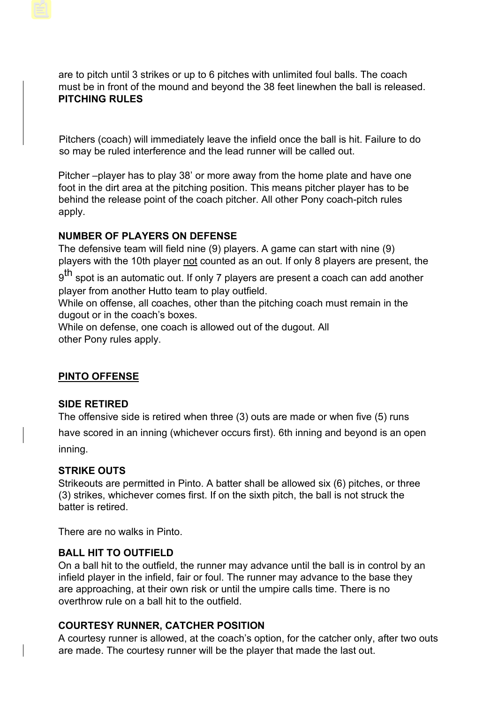are to pitch until 3 strikes or up to 6 pitches with unlimited foul balls. The coach must be in front of the mound and beyond the 38 feet linewhen the ball is released. **PITCHING RULES** 

Pitchers (coach) will immediately leave the infield once the ball is hit. Failure to do so may be ruled interference and the lead runner will be called out.

Pitcher –player has to play 38' or more away from the home plate and have one foot in the dirt area at the pitching position. This means pitcher player has to be behind the release point of the coach pitcher. All other Pony coach-pitch rules apply.

# **NUMBER OF PLAYERS ON DEFENSE**

The defensive team will field nine (9) players. A game can start with nine (9) players with the 10th player not counted as an out. If only 8 players are present, the

 $9<sup>th</sup>$  spot is an automatic out. If only 7 players are present a coach can add another player from another Hutto team to play outfield.

While on offense, all coaches, other than the pitching coach must remain in the dugout or in the coach's boxes.

While on defense, one coach is allowed out of the dugout. All other Pony rules apply.

# **PINTO OFFENSE**

### **SIDE RETIRED**

The offensive side is retired when three (3) outs are made or when five (5) runs

have scored in an inning (whichever occurs first). 6th inning and beyond is an open inning.

### **STRIKE OUTS**

Strikeouts are permitted in Pinto. A batter shall be allowed six (6) pitches, or three (3) strikes, whichever comes first. If on the sixth pitch, the ball is not struck the batter is retired.

There are no walks in Pinto.

### **BALL HIT TO OUTFIELD**

On a ball hit to the outfield, the runner may advance until the ball is in control by an infield player in the infield, fair or foul. The runner may advance to the base they are approaching, at their own risk or until the umpire calls time. There is no overthrow rule on a ball hit to the outfield.

### **COURTESY RUNNER, CATCHER POSITION**

A courtesy runner is allowed, at the coach's option, for the catcher only, after two outs are made. The courtesy runner will be the player that made the last out.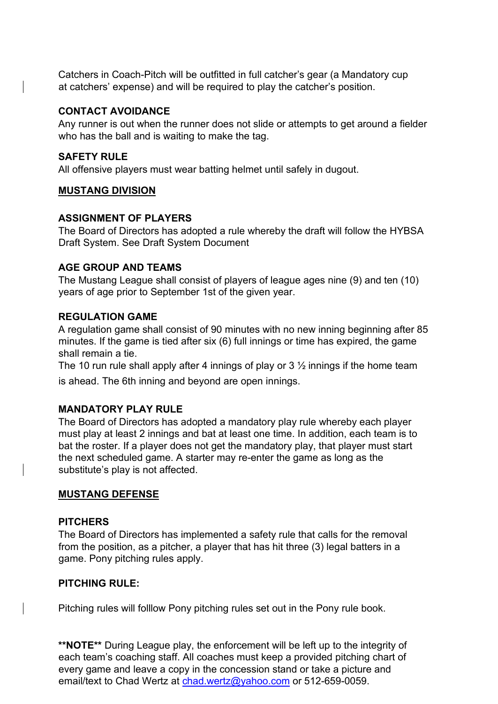Catchers in Coach-Pitch will be outfitted in full catcher's gear (a Mandatory cup at catchers' expense) and will be required to play the catcher's position.

#### **CONTACT AVOIDANCE**

Any runner is out when the runner does not slide or attempts to get around a fielder who has the ball and is waiting to make the tag.

#### **SAFETY RULE**

All offensive players must wear batting helmet until safely in dugout.

#### **MUSTANG DIVISION**

#### **ASSIGNMENT OF PLAYERS**

The Board of Directors has adopted a rule whereby the draft will follow the HYBSA Draft System. See Draft System Document

#### **AGE GROUP AND TEAMS**

The Mustang League shall consist of players of league ages nine (9) and ten (10) years of age prior to September 1st of the given year.

#### **REGULATION GAME**

A regulation game shall consist of 90 minutes with no new inning beginning after 85 minutes. If the game is tied after six (6) full innings or time has expired, the game shall remain a tie.

The 10 run rule shall apply after 4 innings of play or  $3\frac{1}{2}$  innings if the home team is ahead. The 6th inning and beyond are open innings.

### **MANDATORY PLAY RULE**

The Board of Directors has adopted a mandatory play rule whereby each player must play at least 2 innings and bat at least one time. In addition, each team is to bat the roster. If a player does not get the mandatory play, that player must start the next scheduled game. A starter may re-enter the game as long as the substitute's play is not affected.

#### **MUSTANG DEFENSE**

#### **PITCHERS**

The Board of Directors has implemented a safety rule that calls for the removal from the position, as a pitcher, a player that has hit three (3) legal batters in a game. Pony pitching rules apply.

#### **PITCHING RULE:**

Pitching rules will folllow Pony pitching rules set out in the Pony rule book.

**\*\*NOTE\*\*** During League play, the enforcement will be left up to the integrity of each team's coaching staff. All coaches must keep a provided pitching chart of every game and leave a copy in the concession stand or take a picture and email/text to Chad Wertz at chad.wertz@yahoo.com or 512-659-0059.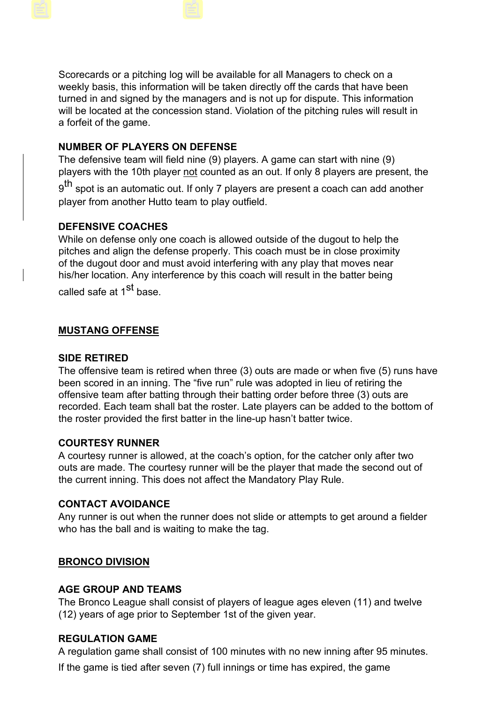Scorecards or a pitching log will be available for all Managers to check on a weekly basis, this information will be taken directly off the cards that have been turned in and signed by the managers and is not up for dispute. This information will be located at the concession stand. Violation of the pitching rules will result in a forfeit of the game.

# **NUMBER OF PLAYERS ON DEFENSE**

The defensive team will field nine (9) players. A game can start with nine (9) players with the 10th player not counted as an out. If only 8 players are present, the  $9<sup>th</sup>$  spot is an automatic out. If only 7 players are present a coach can add another player from another Hutto team to play outfield.

# **DEFENSIVE COACHES**

While on defense only one coach is allowed outside of the dugout to help the pitches and align the defense properly. This coach must be in close proximity of the dugout door and must avoid interfering with any play that moves near his/her location. Any interference by this coach will result in the batter being called safe at 1<sup>st</sup> base.

# **MUSTANG OFFENSE**

#### **SIDE RETIRED**

The offensive team is retired when three (3) outs are made or when five (5) runs have been scored in an inning. The "five run" rule was adopted in lieu of retiring the offensive team after batting through their batting order before three (3) outs are recorded. Each team shall bat the roster. Late players can be added to the bottom of the roster provided the first batter in the line-up hasn't batter twice.

### **COURTESY RUNNER**

A courtesy runner is allowed, at the coach's option, for the catcher only after two outs are made. The courtesy runner will be the player that made the second out of the current inning. This does not affect the Mandatory Play Rule.

### **CONTACT AVOIDANCE**

Any runner is out when the runner does not slide or attempts to get around a fielder who has the ball and is waiting to make the tag.

### **BRONCO DIVISION**

#### **AGE GROUP AND TEAMS**

The Bronco League shall consist of players of league ages eleven (11) and twelve (12) years of age prior to September 1st of the given year.

#### **REGULATION GAME**

A regulation game shall consist of 100 minutes with no new inning after 95 minutes.

If the game is tied after seven (7) full innings or time has expired, the game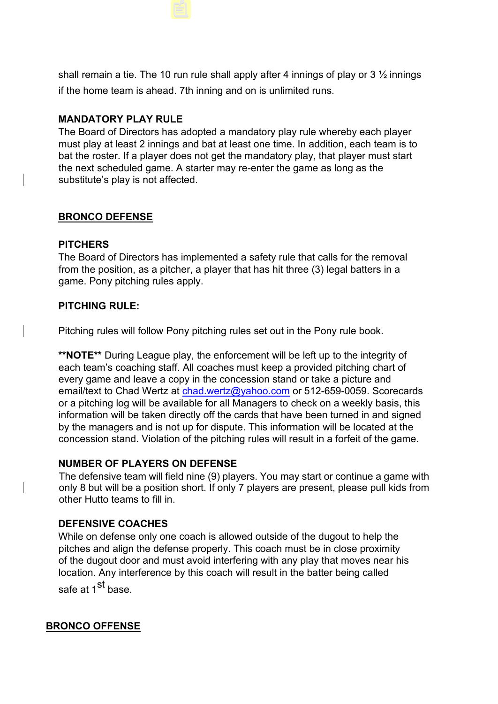shall remain a tie. The 10 run rule shall apply after 4 innings of play or 3  $\frac{1}{2}$  innings if the home team is ahead. 7th inning and on is unlimited runs.

# **MANDATORY PLAY RULE**

The Board of Directors has adopted a mandatory play rule whereby each player must play at least 2 innings and bat at least one time. In addition, each team is to bat the roster. If a player does not get the mandatory play, that player must start the next scheduled game. A starter may re-enter the game as long as the substitute's play is not affected.

### **BRONCO DEFENSE**

### **PITCHERS**

The Board of Directors has implemented a safety rule that calls for the removal from the position, as a pitcher, a player that has hit three (3) legal batters in a game. Pony pitching rules apply.

### **PITCHING RULE:**

Pitching rules will follow Pony pitching rules set out in the Pony rule book.

**\*\*NOTE\*\*** During League play, the enforcement will be left up to the integrity of each team's coaching staff. All coaches must keep a provided pitching chart of every game and leave a copy in the concession stand or take a picture and email/text to Chad Wertz at chad.wertz@yahoo.com or 512-659-0059. Scorecards or a pitching log will be available for all Managers to check on a weekly basis, this information will be taken directly off the cards that have been turned in and signed by the managers and is not up for dispute. This information will be located at the concession stand. Violation of the pitching rules will result in a forfeit of the game.

### **NUMBER OF PLAYERS ON DEFENSE**

The defensive team will field nine (9) players. You may start or continue a game with only 8 but will be a position short. If only 7 players are present, please pull kids from other Hutto teams to fill in.

### **DEFENSIVE COACHES**

While on defense only one coach is allowed outside of the dugout to help the pitches and align the defense properly. This coach must be in close proximity of the dugout door and must avoid interfering with any play that moves near his location. Any interference by this coach will result in the batter being called safe at 1<sup>st</sup> base.

### **BRONCO OFFENSE**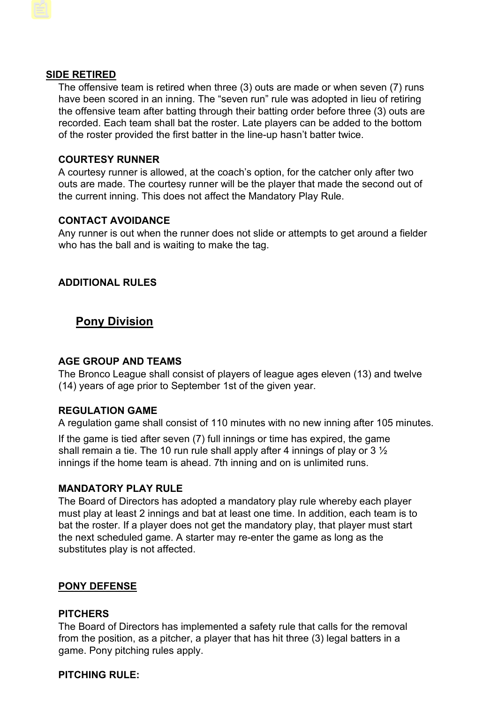#### **SIDE RETIRED**

The offensive team is retired when three (3) outs are made or when seven (7) runs have been scored in an inning. The "seven run" rule was adopted in lieu of retiring the offensive team after batting through their batting order before three (3) outs are recorded. Each team shall bat the roster. Late players can be added to the bottom of the roster provided the first batter in the line-up hasn't batter twice.

#### **COURTESY RUNNER**

A courtesy runner is allowed, at the coach's option, for the catcher only after two outs are made. The courtesy runner will be the player that made the second out of the current inning. This does not affect the Mandatory Play Rule.

#### **CONTACT AVOIDANCE**

Any runner is out when the runner does not slide or attempts to get around a fielder who has the ball and is waiting to make the tag.

### **ADDITIONAL RULES**

# **Pony Division**

### **AGE GROUP AND TEAMS**

The Bronco League shall consist of players of league ages eleven (13) and twelve (14) years of age prior to September 1st of the given year.

### **REGULATION GAME**

A regulation game shall consist of 110 minutes with no new inning after 105 minutes.

If the game is tied after seven (7) full innings or time has expired, the game shall remain a tie. The 10 run rule shall apply after 4 innings of play or 3  $\frac{1}{2}$ innings if the home team is ahead. 7th inning and on is unlimited runs.

#### **MANDATORY PLAY RULE**

The Board of Directors has adopted a mandatory play rule whereby each player must play at least 2 innings and bat at least one time. In addition, each team is to bat the roster. If a player does not get the mandatory play, that player must start the next scheduled game. A starter may re-enter the game as long as the substitutes play is not affected.

### **PONY DEFENSE**

#### **PITCHERS**

The Board of Directors has implemented a safety rule that calls for the removal from the position, as a pitcher, a player that has hit three (3) legal batters in a game. Pony pitching rules apply.

#### **PITCHING RULE:**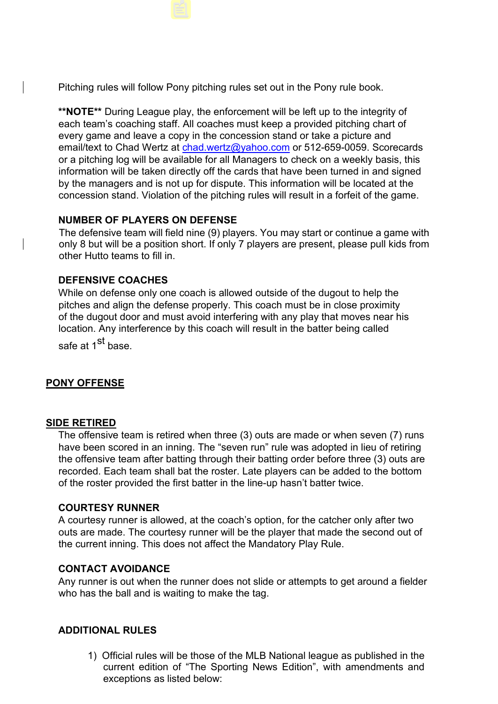Pitching rules will follow Pony pitching rules set out in the Pony rule book.

**\*\*NOTE\*\*** During League play, the enforcement will be left up to the integrity of each team's coaching staff. All coaches must keep a provided pitching chart of every game and leave a copy in the concession stand or take a picture and email/text to Chad Wertz at chad.wertz@yahoo.com or 512-659-0059. Scorecards or a pitching log will be available for all Managers to check on a weekly basis, this information will be taken directly off the cards that have been turned in and signed by the managers and is not up for dispute. This information will be located at the concession stand. Violation of the pitching rules will result in a forfeit of the game.

### **NUMBER OF PLAYERS ON DEFENSE**

The defensive team will field nine (9) players. You may start or continue a game with only 8 but will be a position short. If only 7 players are present, please pull kids from other Hutto teams to fill in.

# **DEFENSIVE COACHES**

While on defense only one coach is allowed outside of the dugout to help the pitches and align the defense properly. This coach must be in close proximity of the dugout door and must avoid interfering with any play that moves near his location. Any interference by this coach will result in the batter being called

safe at 1<sup>st</sup> base.

# **PONY OFFENSE**

### **SIDE RETIRED**

The offensive team is retired when three (3) outs are made or when seven (7) runs have been scored in an inning. The "seven run" rule was adopted in lieu of retiring the offensive team after batting through their batting order before three (3) outs are recorded. Each team shall bat the roster. Late players can be added to the bottom of the roster provided the first batter in the line-up hasn't batter twice.

### **COURTESY RUNNER**

A courtesy runner is allowed, at the coach's option, for the catcher only after two outs are made. The courtesy runner will be the player that made the second out of the current inning. This does not affect the Mandatory Play Rule.

### **CONTACT AVOIDANCE**

Any runner is out when the runner does not slide or attempts to get around a fielder who has the ball and is waiting to make the tag.

### **ADDITIONAL RULES**

1) Official rules will be those of the MLB National league as published in the current edition of "The Sporting News Edition", with amendments and exceptions as listed below: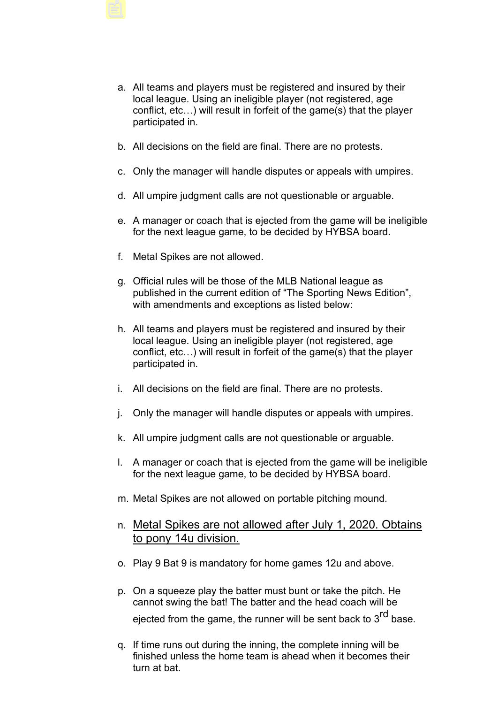- a. All teams and players must be registered and insured by their local league. Using an ineligible player (not registered, age conflict, etc…) will result in forfeit of the game(s) that the player participated in.
- b. All decisions on the field are final. There are no protests.
- c. Only the manager will handle disputes or appeals with umpires.
- d. All umpire judgment calls are not questionable or arguable.
- e. A manager or coach that is ejected from the game will be ineligible for the next league game, to be decided by HYBSA board.
- f. Metal Spikes are not allowed.
- g. Official rules will be those of the MLB National league as published in the current edition of "The Sporting News Edition", with amendments and exceptions as listed below:
- h. All teams and players must be registered and insured by their local league. Using an ineligible player (not registered, age conflict, etc…) will result in forfeit of the game(s) that the player participated in.
- i. All decisions on the field are final. There are no protests.
- j. Only the manager will handle disputes or appeals with umpires.
- k. All umpire judgment calls are not questionable or arguable.
- l. A manager or coach that is ejected from the game will be ineligible for the next league game, to be decided by HYBSA board.
- m. Metal Spikes are not allowed on portable pitching mound.
- n. Metal Spikes are not allowed after July 1, 2020. Obtains to pony 14u division.
- o. Play 9 Bat 9 is mandatory for home games 12u and above.
- p. On a squeeze play the batter must bunt or take the pitch. He cannot swing the bat! The batter and the head coach will be ejected from the game, the runner will be sent back to 3<sup>rd</sup> base.
- q. If time runs out during the inning, the complete inning will be finished unless the home team is ahead when it becomes their turn at bat.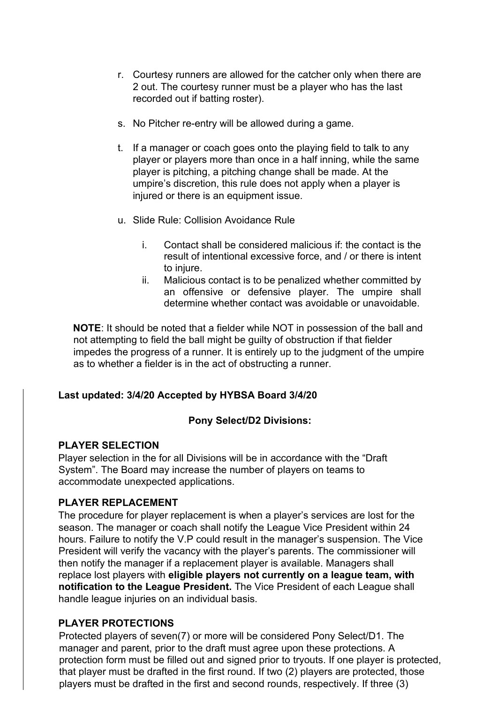- r. Courtesy runners are allowed for the catcher only when there are 2 out. The courtesy runner must be a player who has the last recorded out if batting roster).
- s. No Pitcher re-entry will be allowed during a game.
- t. If a manager or coach goes onto the playing field to talk to any player or players more than once in a half inning, while the same player is pitching, a pitching change shall be made. At the umpire's discretion, this rule does not apply when a player is injured or there is an equipment issue.
- u. Slide Rule: Collision Avoidance Rule
	- i. Contact shall be considered malicious if: the contact is the result of intentional excessive force, and / or there is intent to injure.
	- ii. Malicious contact is to be penalized whether committed by an offensive or defensive player. The umpire shall determine whether contact was avoidable or unavoidable.

**NOTE**: It should be noted that a fielder while NOT in possession of the ball and not attempting to field the ball might be guilty of obstruction if that fielder impedes the progress of a runner. It is entirely up to the judgment of the umpire as to whether a fielder is in the act of obstructing a runner.

### **Last updated: 3/4/20 Accepted by HYBSA Board 3/4/20**

### **Pony Select/D2 Divisions:**

### **PLAYER SELECTION**

Player selection in the for all Divisions will be in accordance with the "Draft System". The Board may increase the number of players on teams to accommodate unexpected applications.

### **PLAYER REPLACEMENT**

The procedure for player replacement is when a player's services are lost for the season. The manager or coach shall notify the League Vice President within 24 hours. Failure to notify the V.P could result in the manager's suspension. The Vice President will verify the vacancy with the player's parents. The commissioner will then notify the manager if a replacement player is available. Managers shall replace lost players with **eligible players not currently on a league team, with notification to the League President.** The Vice President of each League shall handle league injuries on an individual basis.

### **PLAYER PROTECTIONS**

Protected players of seven(7) or more will be considered Pony Select/D1. The manager and parent, prior to the draft must agree upon these protections. A protection form must be filled out and signed prior to tryouts. If one player is protected, that player must be drafted in the first round. If two (2) players are protected, those players must be drafted in the first and second rounds, respectively. If three (3)